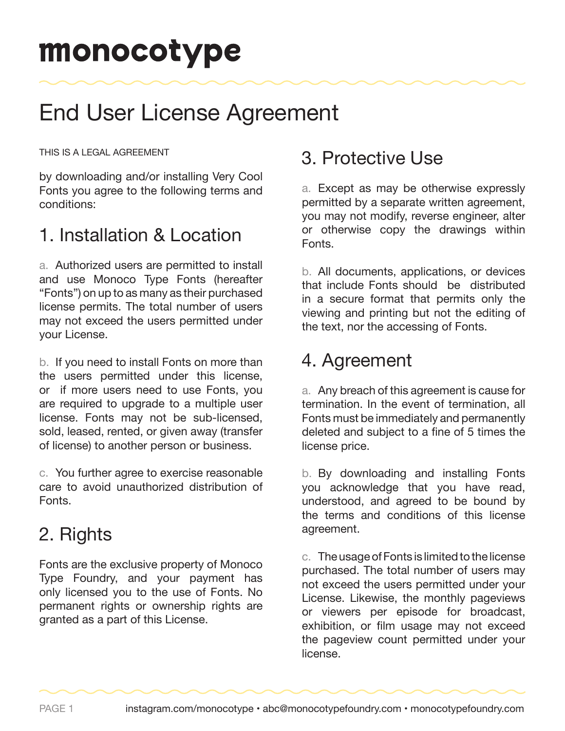# monocotype

## End User License Agreement

THIS IS A LEGAL AGREEMENT

by downloading and/or installing Very Cool Fonts you agree to the following terms and conditions:

### 1. Installation & Location

a. Authorized users are permitted to install and use Monoco Type Fonts (hereafter "Fonts") on up to as many as their purchased license permits. The total number of users may not exceed the users permitted under your License.

b. If you need to install Fonts on more than the users permitted under this license, or if more users need to use Fonts, you are required to upgrade to a multiple user license. Fonts may not be sub-licensed, sold, leased, rented, or given away (transfer of license) to another person or business.

c. You further agree to exercise reasonable care to avoid unauthorized distribution of Fonts.

### 2. Rights

Fonts are the exclusive property of Monoco Type Foundry, and your payment has only licensed you to the use of Fonts. No permanent rights or ownership rights are granted as a part of this License.

### 3. Protective Use

a. Except as may be otherwise expressly permitted by a separate written agreement, you may not modify, reverse engineer, alter or otherwise copy the drawings within Fonts.

b. All documents, applications, or devices that include Fonts should be distributed in a secure format that permits only the viewing and printing but not the editing of the text, nor the accessing of Fonts.

### 4. Agreement

a. Any breach of this agreement is cause for termination. In the event of termination, all Fonts must be immediately and permanently deleted and subject to a fine of 5 times the license price.

b. By downloading and installing Fonts you acknowledge that you have read, understood, and agreed to be bound by the terms and conditions of this license agreement.

c. The usage of Fonts is limited to the license purchased. The total number of users may not exceed the users permitted under your License. Likewise, the monthly pageviews or viewers per episode for broadcast, exhibition, or film usage may not exceed the pageview count permitted under your license.